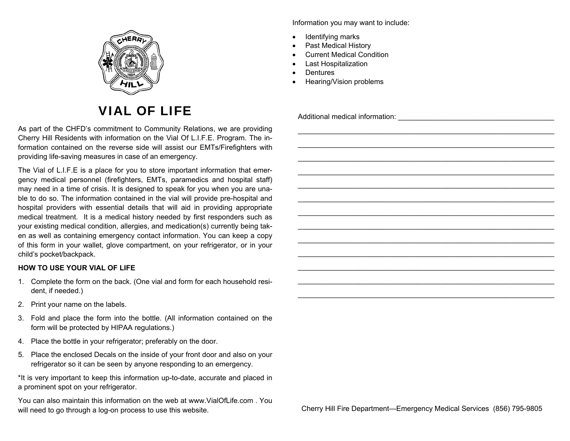

## VIAL OF LIFE

As part of the CHFD's commitment to Community Relations, we are providing Cherry Hill Residents with information on the Vial Of L.I.F.E. Program. The information contained on the reverse side will assist our EMTs/Firefighters with providing life-saving measures in case of an emergency.

The Vial of L.I.F.E is a place for you to store important information that emergency medical personnel (firefighters, EMTs, paramedics and hospital staff) may need in a time of crisis. It is designed to speak for you when you are unable to do so. The information contained in the vial will provide pre-hospital and hospital providers with essential details that will aid in providing appropriate medical treatment. It is a medical history needed by first responders such as your existing medical condition, allergies, and medication(s) currently being taken as well as containing emergency contact information. You can keep a copy of this form in your wallet, glove compartment, on your refrigerator, or in your child's pocket/backpack.

## **HOW TO USE YOUR VIAL OF LIFE**

- 1. Complete the form on the back. (One vial and form for each household resident, if needed.)
- 2. Print your name on the labels.
- 3. Fold and place the form into the bottle. (All information contained on the form will be protected by HIPAA regulations.)
- 4. Place the bottle in your refrigerator; preferably on the door.
- 5. Place the enclosed Decals on the inside of your front door and also on your refrigerator so it can be seen by anyone responding to an emergency.

\*It is very important to keep this information up-to-date, accurate and placed in a prominent spot on your refrigerator.

You can also maintain this information on the web at www.VialOfLife.com . You will need to go through a log-on process to use this website. Cherry Hill Fire Department—Emergency Medical Services (856) 795-9805

Information you may want to include:

- $\bullet$ Identifying marks
- $\bullet$ Past Medical History
- $\bullet$ Current Medical Condition
- $\bullet$ Last Hospitalization
- $\bullet$ **Dentures**
- $\bullet$ Hearing/Vision problems

Additional medical information: \_\_\_\_\_\_\_\_\_\_\_\_\_\_\_\_\_\_\_\_\_\_\_\_\_\_\_\_\_\_\_\_\_\_\_\_\_\_\_

\_\_\_\_\_\_\_\_\_\_\_\_\_\_\_\_\_\_\_\_\_\_\_\_\_\_\_\_\_\_\_\_\_\_\_\_\_\_\_\_\_\_\_\_\_\_\_\_\_\_\_\_\_\_\_\_\_\_\_\_\_\_\_\_ \_\_\_\_\_\_\_\_\_\_\_\_\_\_\_\_\_\_\_\_\_\_\_\_\_\_\_\_\_\_\_\_\_\_\_\_\_\_\_\_\_\_\_\_\_\_\_\_\_\_\_\_\_\_\_\_\_\_\_\_\_\_\_\_

\_\_\_\_\_\_\_\_\_\_\_\_\_\_\_\_\_\_\_\_\_\_\_\_\_\_\_\_\_\_\_\_\_\_\_\_\_\_\_\_\_\_\_\_\_\_\_\_\_\_\_\_\_\_\_\_\_\_\_\_\_\_\_\_ \_\_\_\_\_\_\_\_\_\_\_\_\_\_\_\_\_\_\_\_\_\_\_\_\_\_\_\_\_\_\_\_\_\_\_\_\_\_\_\_\_\_\_\_\_\_\_\_\_\_\_\_\_\_\_\_\_\_\_\_\_\_\_\_

\_\_\_\_\_\_\_\_\_\_\_\_\_\_\_\_\_\_\_\_\_\_\_\_\_\_\_\_\_\_\_\_\_\_\_\_\_\_\_\_\_\_\_\_\_\_\_\_\_\_\_\_\_\_\_\_\_\_\_\_\_\_\_\_ \_\_\_\_\_\_\_\_\_\_\_\_\_\_\_\_\_\_\_\_\_\_\_\_\_\_\_\_\_\_\_\_\_\_\_\_\_\_\_\_\_\_\_\_\_\_\_\_\_\_\_\_\_\_\_\_\_\_\_\_\_\_\_\_ \_\_\_\_\_\_\_\_\_\_\_\_\_\_\_\_\_\_\_\_\_\_\_\_\_\_\_\_\_\_\_\_\_\_\_\_\_\_\_\_\_\_\_\_\_\_\_\_\_\_\_\_\_\_\_\_\_\_\_\_\_\_\_\_

\_\_\_\_\_\_\_\_\_\_\_\_\_\_\_\_\_\_\_\_\_\_\_\_\_\_\_\_\_\_\_\_\_\_\_\_\_\_\_\_\_\_\_\_\_\_\_\_\_\_\_\_\_\_\_\_\_\_\_\_\_\_\_\_ \_\_\_\_\_\_\_\_\_\_\_\_\_\_\_\_\_\_\_\_\_\_\_\_\_\_\_\_\_\_\_\_\_\_\_\_\_\_\_\_\_\_\_\_\_\_\_\_\_\_\_\_\_\_\_\_\_\_\_\_\_\_\_\_